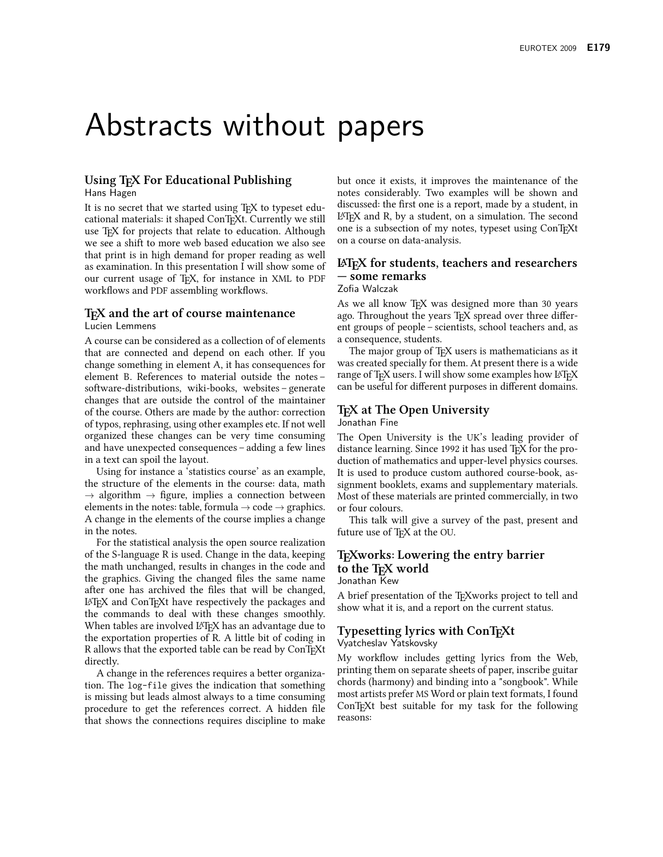# Abstracts without papers

#### Using T<sub>F</sub>X For Educational Publishing Hans Hagen

It is no secret that we started using T<sub>E</sub>X to typeset educational materials: it shaped ConT<sub>F</sub>Xt. Currently we still use T<sub>F</sub>X for projects that relate to education. Although we see a shift to more web based education we also see that print is in high demand for proper reading as well as examination. In this presentation I will show some of our current usage of TEX, for instance in XML to PDF workflows and PDF assembling workflows.

# T<sub>F</sub>X and the art of course maintenance

Lucien Lemmens

A course can be considered as a collection of of elements that are connected and depend on each other. If you change something in element A, it has consequences for element B. References to material outside the notessoftware-distributions, wiki-books, websites – generate changes that are outside the control of the maintainer of the course. Others are made by the author: correction of typos, rephrasing, using other examples etc. If not well organized these changes can be very time consuming and have unexpected consequences – adding a few lines in a text can spoil the layout.

Using for instance a 'statistics course' as an example, the structure of the elements in the course: data, math  $\rightarrow$  algorithm  $\rightarrow$  figure, implies a connection between elements in the notes: table, formula  $\rightarrow$  code  $\rightarrow$  graphics. A change in the elements of the course implies a change in the notes.

For the statistical analysis the open source realization of the S-language R is used. Change in the data, keeping the math unchanged, results in changes in the code and the graphics. Giving the changed files the same name after one has archived the files that will be changed, LAT<sub>F</sub>X and ConT<sub>F</sub>Xt have respectively the packages and the commands to deal with these changes smoothly. When tables are involved L<sup>AT</sup>FX has an advantage due to the exportation properties of R. A little bit of coding in R allows that the exported table can be read by ConTEXt directly.

A change in the references requires a better organization. The log-file gives the indication that something is missing but leads almost always to a time consuming procedure to get the references correct. A hidden file that shows the connections requires discipline to make

but once it exists, it improves the maintenance of the notes considerably. Two examples will be shown and discussed: the first one is a report, made by a student, in LAT<sub>F</sub>X and R, by a student, on a simulation. The second one is a subsection of my notes, typeset using ConTFXt on a course on data-analysis.

#### LAT<sub>F</sub>X for students, teachers and researchers — some remarks Zofia Walczak

As we all know TEX was designed more than 30 years ago. Throughout the years TEX spread over three different groups of people – scientists, school teachers and, as a consequence, students.

The major group of TFX users is mathematicians as it was created specially for them. At present there is a wide range of TEX users. I will show some examples how LATEX can be useful for different purposes in different domains.

#### T<sub>F</sub>X at The Open University Jonathan Fine

The Open University is the UK's leading provider of distance learning. Since 1992 it has used TFX for the production of mathematics and upper-level physics courses. It is used to produce custom authored course-book, assignment booklets, exams and supplementary materials. Most of these materials are printed commercially, in two or four colours.

This talk will give a survey of the past, present and future use of T<sub>F</sub>X at the OU.

#### T<sub>F</sub>Xworks: Lowering the entry barrier to the T<sub>F</sub>X world Jonathan Kew

A brief presentation of the T<sub>F</sub>Xworks project to tell and show what it is, and a report on the current status.

# **Typesetting lyrics with ConTFXt**

Vyatcheslav Yatskovsky

My workflow includes getting lyrics from the Web, printing them on separate sheets of paper, inscribe guitar chords (harmony) and binding into a "songbook". While most artists prefer MS Word or plain text formats, I found ConT<sub>E</sub>Xt best suitable for my task for the following reasons: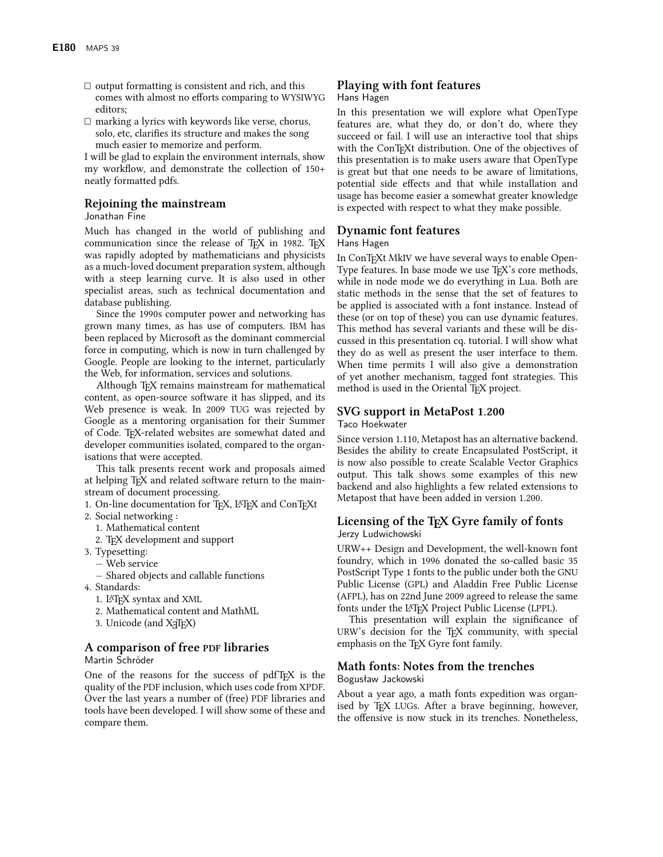- $\Box$  output formatting is consistent and rich, and this comes with almost no efforts comparing to WYSIWYG editors:
- $\Box$  marking a lyrics with keywords like verse, chorus, solo, etc, clarifies its structure and makes the song much easier to memorize and perform.

I will be glad to explain the environment internals, show my workflow, and demonstrate the collection of 150+ neatly formatted pdfs.

#### Rejoining the mainstream

Jonathan Fine

Much has changed in the world of publishing and communication since the release of TFX in 1982. TFX was rapidly adopted by mathematicians and physicists as a much-loved document preparation system, although with a steep learning curve. It is also used in other specialist areas, such as technical documentation and database publishing.

Since the 1990s computer power and networking has grown many times, as has use of computers. IBM has been replaced by Microsoft as the dominant commercial force in computing, which is now in turn challenged by Google. People are looking to the internet, particularly the Web, for information, services and solutions.

Although T<sub>F</sub>X remains mainstream for mathematical content, as open-source software it has slipped, and its Web presence is weak. In 2009 TUG was rejected by Google as a mentoring organisation for their Summer of Code. TEX-related websites are somewhat dated and developer communities isolated, compared to the organisations that were accepted.

This talk presents recent work and proposals aimed at helping TEX and related software return to the mainstream of document processing.

- 1. On-line documentation for TEX, IATEX and ConTEXt
- 2. Social networking:
	- 1. Mathematical content
	- 2. TFX development and support
- 3. Typesetting:
	- Web service
	- Shared objects and callable functions
- 4. Standards:
	- 1. IATFX syntax and XML
	- 2. Mathematical content and MathML
	- 3. Unicode (and X<sub>I</sub>TEX)

# A comparison of free PDF libraries

Martin Schröder

One of the reasons for the success of pdfT<sub>F</sub>X is the quality of the PDF inclusion, which uses code from XPDF. Over the last years a number of (free) PDF libraries and tools have been developed. I will show some of these and compare them.

# Playing with font features

#### Hans Hagen

In this presentation we will explore what OpenType features are, what they do, or don't do, where they succeed or fail. I will use an interactive tool that ships with the ConTFXt distribution. One of the objectives of this presentation is to make users aware that OpenType is great but that one needs to be aware of limitations, potential side effects and that while installation and usage has become easier a somewhat greater knowledge is expected with respect to what they make possible.

#### **Dynamic font features**

#### Hans Hagen

In ConTEXt MkIV we have several ways to enable Open-Type features. In base mode we use T<sub>F</sub>X's core methods, while in node mode we do everything in Lua. Both are static methods in the sense that the set of features to be applied is associated with a font instance. Instead of these (or on top of these) you can use dynamic features. This method has several variants and these will be discussed in this presentation cq. tutorial. I will show what they do as well as present the user interface to them. When time permits I will also give a demonstration of yet another mechanism, tagged font strategies. This method is used in the Oriental T<sub>F</sub>X project.

#### SVG support in MetaPost 1.200 Taco Hoekwater

Since version 1.110, Metapost has an alternative backend. Besides the ability to create Encapsulated PostScript, it is now also possible to create Scalable Vector Graphics output. This talk shows some examples of this new backend and also highlights a few related extensions to Metapost that have been added in version 1.200.

#### Licensing of the T<sub>F</sub>X Gyre family of fonts Jerzy Ludwichowski

URW++ Design and Development, the well-known font foundry, which in 1996 donated the so-called basic 35 PostScript Type 1 fonts to the public under both the GNU Public License (GPL) and Aladdin Free Public License (AFPL), has on 22nd June 2009 agreed to release the same fonts under the L<sup>A</sup>TFX Project Public License (LPPL).

This presentation will explain the significance of URW's decision for the TFX community, with special emphasis on the T<sub>F</sub>X Gyre font family.

## Math fonts: Notes from the trenches

#### Bogusław Jackowski

About a year ago, a math fonts expedition was organised by T<sub>F</sub>X LUGs. After a brave beginning, however, the offensive is now stuck in its trenches. Nonetheless,